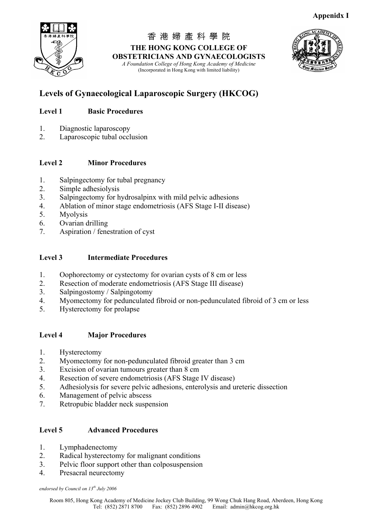

香 港 婦 產 科 學 院 **THE HONG KONG COLLEGE OF OBSTETRICIANS AND GYNAECOLOGISTS** *A Foundation College of Hong Kong Academy of Medicine*  (Incorporated in Hong Kong with limited liability)



# **Levels of Gynaecological Laparoscopic Surgery (HKCOG)**

## **Level 1 Basic Procedures**

- 1. Diagnostic laparoscopy
- 2. Laparoscopic tubal occlusion

## **Level 2 Minor Procedures**

- 1. Salpingectomy for tubal pregnancy
- 2. Simple adhesiolysis
- 3. Salpingectomy for hydrosalpinx with mild pelvic adhesions
- 4. Ablation of minor stage endometriosis (AFS Stage I-II disease)
- 5. Myolysis
- 6. Ovarian drilling
- 7. Aspiration / fenestration of cyst

## **Level 3 Intermediate Procedures**

- 1. Oophorectomy or cystectomy for ovarian cysts of 8 cm or less
- 2. Resection of moderate endometriosis (AFS Stage III disease)
- 3. Salpingostomy / Salpingotomy
- 4. Myomectomy for pedunculated fibroid or non-pedunculated fibroid of 3 cm or less
- 5. Hysterectomy for prolapse

## **Level 4 Major Procedures**

- 1. Hysterectomy
- 2. Myomectomy for non-pedunculated fibroid greater than 3 cm
- 3. Excision of ovarian tumours greater than 8 cm
- 4. Resection of severe endometriosis (AFS Stage IV disease)
- 5. Adhesiolysis for severe pelvic adhesions, enterolysis and ureteric dissection
- 6. Management of pelvic abscess
- 7. Retropubic bladder neck suspension

## **Level 5 Advanced Procedures**

- 1. Lymphadenectomy
- 2. Radical hysterectomy for malignant conditions
- 3. Pelvic floor support other than colposuspension
- 4. Presacral neurectomy

*endorsed by Council on 13th July 2006*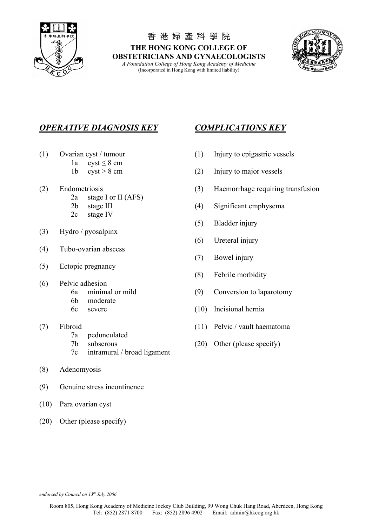

香 港 婦 產 科 學 院 **THE HONG KONG COLLEGE OF OBSTETRICIANS AND GYNAECOLOGISTS**

*A Foundation College of Hong Kong Academy of Medicine*  (Incorporated in Hong Kong with limited liability)



## *OPERATIVE DIAGNOSIS KEY COMPLICATIONS KEY*

- - 1a  $\text{cyst} < 8 \text{ cm}$
	-
- - 2a stage I or II (AFS)
	-
	- 2c stage IV
- (3) Hydro / pyosalpinx
- (4) Tubo-ovarian abscess
- (5) Ectopic pregnancy
- (6) Pelvic adhesion
	-
	- 6b moderate
	-
- - 7a pedunculated
	-
	- 7c intramural / broad ligament
- (8) Adenomyosis
- (9) Genuine stress incontinence
- (10) Para ovarian cyst
- (20) Other (please specify)

- (1) Ovarian cyst / tumour (1) Injury to epigastric vessels
	- 1b  $\text{cyst} > 8 \text{ cm}$  (2) Injury to major vessels
- (2) Endometriosis (3) Haemorrhage requiring transfusion
	- 2b stage III (4) Significant emphysema
		- (5) Bladder injury
		- (6) Ureteral injury
		- (7) Bowel injury
		- (8) Febrile morbidity
	- 6a minimal or mild (9) Conversion to laparotomy
	- 6c severe (10) Incisional hernia
- (7) Fibroid (11) Pelvic / vault haematoma
	- 7b subserous (20) Other (please specify)

*endorsed by Council on 13th July 2006*